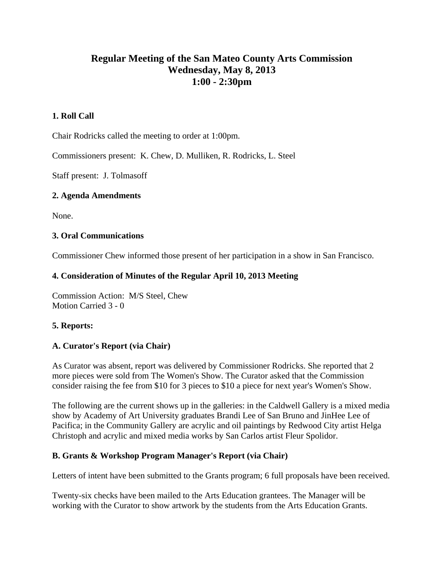# **Regular Meeting of the San Mateo County Arts Commission Wednesday, May 8, 2013 1:00 - 2:30pm**

# **1. Roll Call**

Chair Rodricks called the meeting to order at 1:00pm.

Commissioners present: K. Chew, D. Mulliken, R. Rodricks, L. Steel

Staff present: J. Tolmasoff

# **2. Agenda Amendments**

None.

## **3. Oral Communications**

Commissioner Chew informed those present of her participation in a show in San Francisco.

# **4. Consideration of Minutes of the Regular April 10, 2013 Meeting**

Commission Action: M/S Steel, Chew Motion Carried 3 - 0

# **5. Reports:**

# **A. Curator's Report (via Chair)**

As Curator was absent, report was delivered by Commissioner Rodricks. She reported that 2 more pieces were sold from The Women's Show. The Curator asked that the Commission consider raising the fee from \$10 for 3 pieces to \$10 a piece for next year's Women's Show.

The following are the current shows up in the galleries: in the Caldwell Gallery is a mixed media show by Academy of Art University graduates Brandi Lee of San Bruno and JinHee Lee of Pacifica; in the Community Gallery are acrylic and oil paintings by Redwood City artist Helga Christoph and acrylic and mixed media works by San Carlos artist Fleur Spolidor.

# **B. Grants & Workshop Program Manager's Report (via Chair)**

Letters of intent have been submitted to the Grants program; 6 full proposals have been received.

Twenty-six checks have been mailed to the Arts Education grantees. The Manager will be working with the Curator to show artwork by the students from the Arts Education Grants.